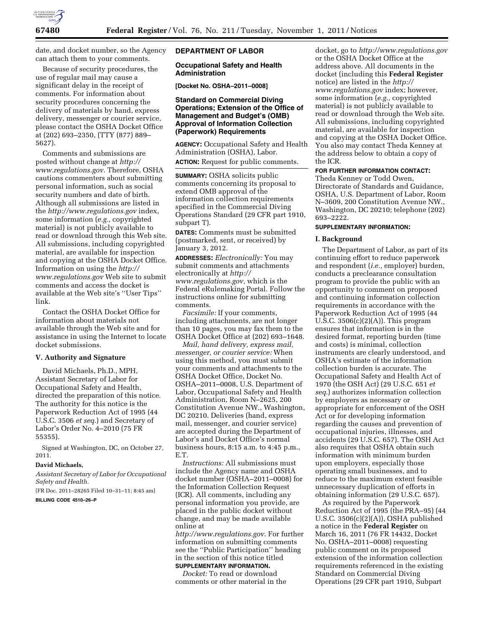

date, and docket number, so the Agency can attach them to your comments.

Because of security procedures, the use of regular mail may cause a significant delay in the receipt of comments. For information about security procedures concerning the delivery of materials by hand, express delivery, messenger or courier service, please contact the OSHA Docket Office at (202) 693–2350, (TTY (877) 889– 5627).

Comments and submissions are posted without change at *[http://](http://www.regulations.gov)  [www.regulations.gov.](http://www.regulations.gov)* Therefore, OSHA cautions commenters about submitting personal information, such as social security numbers and date of birth. Although all submissions are listed in the *<http://www.regulations.gov>*index, some information (*e.g.,* copyrighted material) is not publicly available to read or download through this Web site. All submissions, including copyrighted material, are available for inspection and copying at the OSHA Docket Office. Information on using the *[http://](http://www.regulations.gov) [www.regulations.gov](http://www.regulations.gov)* Web site to submit comments and access the docket is available at the Web site's ''User Tips'' link.

Contact the OSHA Docket Office for information about materials not available through the Web site and for assistance in using the Internet to locate docket submissions.

## **V. Authority and Signature**

David Michaels, Ph.D., MPH, Assistant Secretary of Labor for Occupational Safety and Health, directed the preparation of this notice. The authority for this notice is the Paperwork Reduction Act of 1995 (44 U.S.C. 3506 *et seq.*) and Secretary of Labor's Order No. 4–2010 (75 FR 55355).

Signed at Washington, DC, on October 27, 2011.

#### **David Michaels,**

*Assistant Secretary of Labor for Occupational Safety and Health.* 

[FR Doc. 2011–28265 Filed 10–31–11; 8:45 am]

#### **BILLING CODE 4510–26–P**

## **DEPARTMENT OF LABOR**

## **Occupational Safety and Health Administration**

**[Docket No. OSHA–2011–0008]** 

# **Standard on Commercial Diving Operations; Extension of the Office of Management and Budget's (OMB) Approval of Information Collection (Paperwork) Requirements**

**AGENCY:** Occupational Safety and Health Administration (OSHA), Labor.

**ACTION:** Request for public comments.

**SUMMARY:** OSHA solicits public comments concerning its proposal to extend OMB approval of the information collection requirements specified in the Commercial Diving Operations Standard (29 CFR part 1910, subpart T).

**DATES:** Comments must be submitted (postmarked, sent, or received) by January 3, 2012.

**ADDRESSES:** *Electronically:* You may submit comments and attachments electronically at *[http://](http://www.regulations.gov) [www.regulations.gov,](http://www.regulations.gov)* which is the Federal eRulemaking Portal. Follow the instructions online for submitting comments.

*Facsimile:* If your comments, including attachments, are not longer than 10 pages, you may fax them to the OSHA Docket Office at (202) 693–1648.

*Mail, hand delivery, express mail, messenger, or courier service:* When using this method, you must submit your comments and attachments to the OSHA Docket Office, Docket No. OSHA–2011–0008, U.S. Department of Labor, Occupational Safety and Health Administration, Room N–2625, 200 Constitution Avenue NW., Washington, DC 20210. Deliveries (hand, express mail, messenger, and courier service) are accepted during the Department of Labor's and Docket Office's normal business hours, 8:15 a.m. to 4:45 p.m., E.T.

*Instructions:* All submissions must include the Agency name and OSHA docket number (OSHA–2011–0008) for the Information Collection Request (ICR). All comments, including any personal information you provide, are placed in the public docket without change, and may be made available online at

*<http://www.regulations.gov>*. For further information on submitting comments see the ''Public Participation'' heading in the section of this notice titled **SUPPLEMENTARY INFORMATION.** 

*Docket:* To read or download comments or other material in the

docket, go to *<http://www.regulations.gov>*  or the OSHA Docket Office at the address above. All documents in the docket (including this **Federal Register**  notice) are listed in the *[http://](http://www.regulations.gov) [www.regulations.gov](http://www.regulations.gov)* index; however, some information (*e.g.,* copyrighted material) is not publicly available to read or download through the Web site. All submissions, including copyrighted material, are available for inspection and copying at the OSHA Docket Office. You also may contact Theda Kenney at the address below to obtain a copy of the ICR.

## **FOR FURTHER INFORMATION CONTACT:**

Theda Kenney or Todd Owen, Directorate of Standards and Guidance, OSHA, U.S. Department of Labor, Room N–3609, 200 Constitution Avenue NW., Washington, DC 20210; telephone (202) 693–2222.

## **SUPPLEMENTARY INFORMATION:**

## **I. Background**

The Department of Labor, as part of its continuing effort to reduce paperwork and respondent (*i.e.,* employer) burden, conducts a preclearance consultation program to provide the public with an opportunity to comment on proposed and continuing information collection requirements in accordance with the Paperwork Reduction Act of 1995 (44 U.S.C.  $3506(c)(2)(A)$ ). This program ensures that information is in the desired format, reporting burden (time and costs) is minimal, collection instruments are clearly understood, and OSHA's estimate of the information collection burden is accurate. The Occupational Safety and Health Act of 1970 (the OSH Act) (29 U.S.C. 651 *et seq.*) authorizes information collection by employers as necessary or appropriate for enforcement of the OSH Act or for developing information regarding the causes and prevention of occupational injuries, illnesses, and accidents (29 U.S.C. 657). The OSH Act also requires that OSHA obtain such information with minimum burden upon employers, especially those operating small businesses, and to reduce to the maximum extent feasible unnecessary duplication of efforts in obtaining information (29 U.S.C. 657).

As required by the Paperwork Reduction Act of 1995 (the PRA–95) (44 U.S.C. 3506(c)(2)(A)), OSHA published a notice in the **Federal Register** on March 16, 2011 (76 FR 14432, Docket No. OSHA–2011–0008) requesting public comment on its proposed extension of the information collection requirements referenced in the existing Standard on Commercial Diving Operations (29 CFR part 1910, Subpart